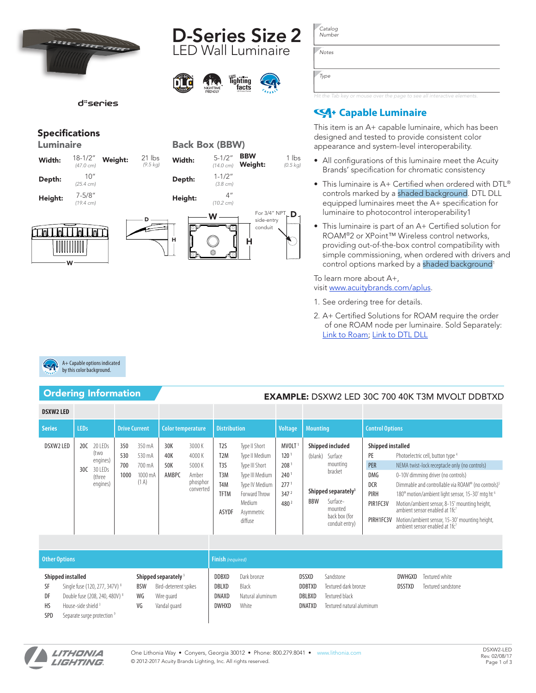







# Specifications

|  | Luminaire |
|--|-----------|
|  |           |
|  |           |

| Width:  | $18 - 1/2"$<br>$(47.0 \text{ cm})$ | Weight: |
|---------|------------------------------------|---------|
| Depth:  | 10"<br>$(25.4 \text{ cm})$         |         |
| Height: | $7 - 5/8"$<br>140.4                |         |

*(19.4 cm)*

| .             |  |
|---------------|--|
|               |  |
| dan da bahasa |  |
|               |  |

W



*Notes*

*Type*

*Hit the Tab key or mouse over the page to see all interactive elements.*

# **Capable Luminaire**

This item is an A+ capable luminaire, which has been designed and tested to provide consistent color appearance and system-level interoperability.

- All configurations of this luminaire meet the Acuity Brands' specification for chromatic consistency
- This luminaire is A+ Certified when ordered with DTL® controls marked by a shaded background. DTL DLL equipped luminaires meet the A+ specification for luminaire to photocontrol interoperability1
- This luminaire is part of an A+ Certified solution for ROAM®2 or XPoint™ Wireless control networks, providing out-of-the-box control compatibility with simple commissioning, when ordered with drivers and control options marked by a shaded background<sup>1</sup>

To learn more about A+, visit [www.acuitybrands.com/aplus](http://www.acuitybrands.com/aplus).

- 1. See ordering tree for details.
- 2. A+ Certified Solutions for ROAM require the order of one ROAM node per luminaire. Sold Separately: [Link to Roam;](http://www.acuitybrands.com/products/controls/roam) [Link to DTL DLL](http://www.acuitybrands.com/products/detail/318243/Dark-to-Light/DLL-Series/DLL-Elite)



# Ordering Information **EXAMPLE:** DSXW2 LED 30C 700 40K T3M MVOLT DDBTXD

| <b>DSXW2 LED</b> |             |                                                              |                           |                                               |                            |                                                            |                                                                                                                          |                                                                                                                                            |                                                                                                                               |                       |                                                                                                                                                 |                                                                                             |                                                                                                                                                                                                                                                                                                                                                                                                                                               |  |
|------------------|-------------|--------------------------------------------------------------|---------------------------|-----------------------------------------------|----------------------------|------------------------------------------------------------|--------------------------------------------------------------------------------------------------------------------------|--------------------------------------------------------------------------------------------------------------------------------------------|-------------------------------------------------------------------------------------------------------------------------------|-----------------------|-------------------------------------------------------------------------------------------------------------------------------------------------|---------------------------------------------------------------------------------------------|-----------------------------------------------------------------------------------------------------------------------------------------------------------------------------------------------------------------------------------------------------------------------------------------------------------------------------------------------------------------------------------------------------------------------------------------------|--|
| <b>Series</b>    | <b>LEDs</b> |                                                              | <b>Drive Current</b>      |                                               | Color temperature          |                                                            | <b>Distribution</b>                                                                                                      |                                                                                                                                            | <b>Voltage</b>                                                                                                                | <b>Mounting</b>       |                                                                                                                                                 | <b>Control Options</b>                                                                      |                                                                                                                                                                                                                                                                                                                                                                                                                                               |  |
| DSXW2 LED        | 20C<br>30C  | 20 LEDs<br>(two<br>engines)<br>30 LEDs<br>(three<br>engines) | 350<br>530<br>700<br>1000 | 350 mA<br>530 mA<br>700 mA<br>1000 mA<br>(1A) | 30K<br>40K<br>50K<br>AMBPC | 3000K<br>4000K<br>5000 K<br>Amber<br>phosphor<br>converted | T <sub>2</sub> S<br>T <sub>2</sub> M<br>T <sub>3</sub> S<br>T <sub>3</sub> M<br>T <sub>4</sub> M<br><b>TFTM</b><br>ASYDF | Type II Short<br>Type II Medium<br>Type III Short<br>Type III Medium<br>Type IV Medium<br>Forward Throw<br>Medium<br>Asymmetric<br>diffuse | MVOLT <sup>1</sup><br>120 <sup>°</sup><br>208<br>240 <sup>1</sup><br>277 <sup>1</sup><br>347 <sup>2</sup><br>480 <sup>2</sup> | (blank)<br><b>BBW</b> | Shipped included<br>Surface<br>mounting<br>bracket<br>Shipped separately <sup>3</sup><br>Surface-<br>mounted<br>back box (for<br>conduit entry) | Shipped installed<br>PE<br>PER<br><b>DMG</b><br><b>DCR</b><br>PIRH<br>PIR1FC3V<br>PIRH1FC3V | Photoelectric cell, button type 4<br>NEMA twist-lock receptacle only (no controls)<br>0-10V dimming driver (no controls)<br>Dimmable and controllable via ROAM® (no controls) <sup>5</sup><br>180° motion/ambient light sensor, 15-30' mtg ht <sup>6</sup><br>Motion/ambient sensor, 8-15' mounting height,<br>ambient sensor enabled at 1fc7<br>Motion/ambient sensor, 15-30' mounting height,<br>ambient sensor enabled at 1fc <sup>7</sup> |  |

| <b>Other Options</b>         |                                                                                                                                                        |                        |                                                                                        |                                                       | <b>Finish</b> (required)                          |                                                   |                                                                                  |                         |                                      |  |  |  |  |  |
|------------------------------|--------------------------------------------------------------------------------------------------------------------------------------------------------|------------------------|----------------------------------------------------------------------------------------|-------------------------------------------------------|---------------------------------------------------|---------------------------------------------------|----------------------------------------------------------------------------------|-------------------------|--------------------------------------|--|--|--|--|--|
| SF<br>DF<br>HS<br><b>SPD</b> | Shipped installed<br>Single fuse (120, 277, 347V) 8<br>Double fuse (208, 240, 480V) 8<br>House-side shield 3<br>Separate surge protection <sup>9</sup> | <b>BSW</b><br>WG<br>VG | Shipped separately <sup>9</sup><br>Bird-deterrent spikes<br>Wire guard<br>Vandal quard | <b>DDBXD</b><br>DBLXD<br><b>DNAXD</b><br><b>DWHXD</b> | Dark bronze<br>Black<br>Natural aluminum<br>White | <b>DSSXD</b><br><b>DDBTXD</b><br>DBLBXD<br>DNATXD | Sandstone<br>Textured dark bronze<br>Textured black<br>Textured natural aluminum | DWHGXD<br><b>DSSTXD</b> | Textured white<br>Textured sandstone |  |  |  |  |  |

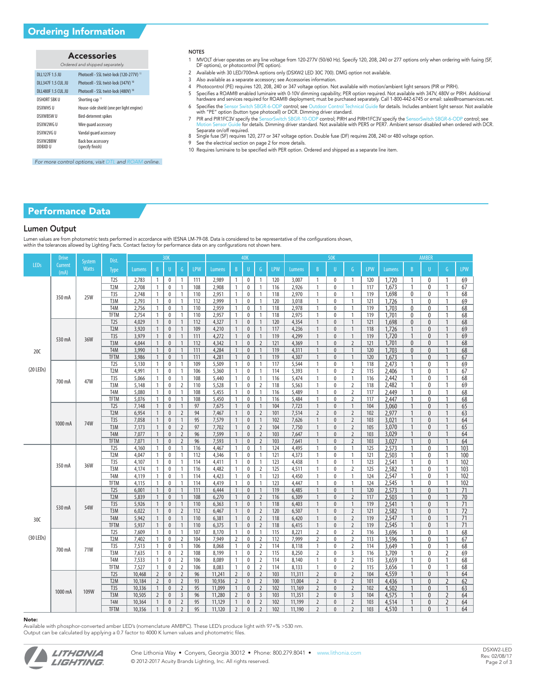# Accessories

| Ordered and shipped separately. |                                                 |  |  |  |  |  |  |  |  |
|---------------------------------|-------------------------------------------------|--|--|--|--|--|--|--|--|
| DLI 127F 1.5 JU                 | Photocell - SSL twist-lock (120-277V) 10        |  |  |  |  |  |  |  |  |
| DLI 347F 1.5 CUL JU             | Photocell - SSL twist-lock (347V) <sup>10</sup> |  |  |  |  |  |  |  |  |
| DI 1480F 1.5 CUL JU             | Photocell - SSL twist-lock (480V) <sup>10</sup> |  |  |  |  |  |  |  |  |
| <b>DSHORT SBK U</b>             | Shorting cap <sup>10</sup>                      |  |  |  |  |  |  |  |  |
| <b>DSXWHS U</b>                 | House-side shield (one per light engine)        |  |  |  |  |  |  |  |  |
| <b>DSXWBSW U</b>                | Bird-deterrent spikes                           |  |  |  |  |  |  |  |  |
| DSXW2WG U                       | Wire quard accessory                            |  |  |  |  |  |  |  |  |
| DSXW2VG U                       | Vandal quard accessory                          |  |  |  |  |  |  |  |  |
| DSXW2BBW<br>DDBXD U             | Back box accessory<br>(specify finish)          |  |  |  |  |  |  |  |  |

## NOTES

- 1 MVOLT driver operates on any line voltage from 120-277V (50/60 Hz). Specify 120, 208, 240 or 277 options only when ordering with fusing (SF, DF options), or photocontrol (PE option).
- 2 Available with 30 LED/700mA options only (DSXW2 LED 30C 700). DMG option not available.
- 3 Also available as a separate accessory; see Accessories information.
- 4 Photocontrol (PE) requires 120, 208, 240 or 347 voltage option. Not available with motion/ambient light sensors (PIR or PIRH).
- 5 Specifies a ROAM® enabled luminaire with 0-10V dimming capability; PER option required. Not available with 347V, 480V or PIRH. Additional<br>hardware and services required for ROAM® deployment; must be purchased separately. 6 Specifies th[e Sensor Switch SBGR-6-ODP c](http://www.sensorswitch.com/DataSheets/SBGR-6&10-ODP.pdf)ontrol; se[e Outdoor Control Technical Guide f](http://acuitybrands.dirxion.com/outdoorcontrols/app.php?RelId=6.7.0.19.2)or details. Includes ambient light sensor. Not available<br>with "PE" option (button type photocell) or DCR. Dimming driver standard.
- PIR and PIR1FC3V specify th[e SensorSwitch SBGR-10-ODP c](http://www.sensorswitch.com/DataSheets/SBGR-6&10-ODP.pdf)ontrol; PIRH and PIRH1FC3V specify th[e SensorSwitch SBGR-6-ODP c](http://www.sensorswitch.com/DataSheets/SBGR-6&10-ODP.pdf)ontrol; see<br>[Motion Sensor Guide f](http://www.acuitybrandslighting.com/library/ll/documents/specsheets/motion-sensor-guide.pdf)or details. Dimming driver standard. Not available with PER5 or PER7. Separate on/off required.
- 8 Single fuse (SF) requires 120, 277 or 347 voltage option. Double fuse (DF) requires 208, 240 or 480 voltage option.
- 9 See the electrical section on page 2 for more details.
- 10 Requires luminaire to be specified with PER option. Ordered and shipped as a separate line item.

*For more control options, visit [DTL](http://www.acuitybrands.com/products/controls/dtl) and [ROAM](http://www.acuitybrands.com/products/controls/roam) online.*

# Performance Data

### Lumen Output

Lumen values are from photometric tests performed in accordance with IESNA LM-79-08. Data is considered to be representative of the configurations shown, within the tolerances allowed by Lighting Facts. Contact factory for performance data on any configurations not shown here.

| <b>LEDs</b><br><b>Current</b><br>$\mathsf{G}$<br>LPW<br><b>Watts</b><br>LPW<br>$\, {\bf B}$<br><b>LPW</b><br>U<br>$\mathsf{G}$<br>LPW<br>$\mathsf B$<br>U<br><b>Lumens</b><br>$\mathsf B$<br>G<br>Lumens<br>U<br>$\mathsf{G}$<br><b>Lumens</b><br>$\mathsf{B}$<br><b>Lumens</b><br>U<br><b>Type</b><br>(mA)<br>T <sub>2S</sub><br>69<br>2,783<br>111<br>$\mathbf{1}$<br>120<br>$\mathbf{1}$<br>1,720<br>$\mathbf{1}$<br>$\mathbf{1}$<br>$\mathbf 0$<br>$\mathbf{1}$<br>2,989<br>$\mathbf{0}$<br>3.007<br>$\mathbf{1}$<br>$\mathbf{0}$<br>120<br>1<br>$\Omega$<br>1<br>T <sub>2</sub> M<br>1.673<br>67<br>2,708<br>2,908<br>116<br>2,926<br>$\mathbf{0}$<br>$\mathbf{1}$<br>117<br>0<br>1<br>$\mathbf 0$<br>108<br>$\mathbf{1}$<br>$\mathbf{0}$<br>$\mathbf{1}$<br>$\mathbf{1}$<br>1<br>$\mathbf{1}$<br>1<br>68<br>T <sub>3</sub> S<br>2,748<br>110<br>2,951<br>118<br>2,970<br>$\mathbf{1}$<br>$\mathbf 0$<br>$\mathbf{1}$<br>119<br>1,698<br>0<br>0<br>1<br>$\mathbf{1}$<br>$\mathbf 0$<br>$\mathbf{1}$<br>$\mathbf{0}$<br>$\mathbf{1}$<br>$\mathbf{1}$<br><b>25W</b><br>350 mA<br>69<br>T <sub>3</sub> M<br>2,793<br>$\mathbf{1}$<br>$\mathbf{1}$<br>112<br>2,999<br>$\mathbf{1}$<br>120<br>3,018<br>$\mathbf{1}$<br>0<br>$\mathbf{1}$<br>121<br>1.726<br>0<br>$\mathbf{1}$<br>$\mathbf 0$<br>$\mathbf{0}$<br>$\mathbf{1}$<br>1<br>T <sub>4</sub> M<br>2,756<br>118<br>2,978<br>$\mathbf{1}$<br>$\mathbf{1}$<br>1,703<br>68<br>$\mathbf{1}$<br>$\mathbf 0$<br>$\mathbf{1}$<br>110<br>2,959<br>$\mathbf{1}$<br>$\mathbf 0$<br>$\mathbf{1}$<br>$\mathbf 0$<br>119<br>0<br>$\mathbf{0}$<br>1<br>68<br><b>TFTM</b><br>2,754<br>2,957<br>118<br>2,975<br>$\mathbf{1}$<br>0<br>$\mathbf{1}$<br>119<br>1,701<br>0<br>0<br>1<br>$\mathbf{1}$<br>$\mathbf 0$<br>$\mathbf{1}$<br>110<br>$\mathbf{1}$<br>$\mathbf{0}$<br>$\mathbf{1}$<br>T <sub>2</sub> S<br>$\mathbf{1}$<br>120<br>$\mathbf{1}$<br>$\mathbf{1}$<br>68<br>4,029<br>$\mathbf{1}$<br>$\mathbf{0}$<br>$\mathbf{1}$<br>112<br>4,327<br>$\mathbf{1}$<br>$\mathbf{0}$<br>4,354<br>$\mathbf{1}$<br>$\mathbf{0}$<br>121<br>1,698<br>0<br>$\mathbf{0}$<br>T <sub>2</sub> M<br>3,920<br>$\mathbf{1}$<br>117<br>$\mathbf{1}$<br>$\theta$<br>$\overline{1}$<br>118<br>$\mathbf{0}$<br>$\mathbf{1}$<br>69<br>$\mathbf{1}$<br>$\mathbf{0}$<br>$\mathbf{1}$<br>109<br>4,210<br>$\mathbf{1}$<br>$\mathbf{0}$<br>4,236<br>1,726<br>T <sub>3</sub> S<br>3,979<br>$\mathbf{1}$<br>$\mathbf{1}$<br>111<br>$\mathbf{1}$<br>$\mathbf{1}$<br>119<br>$\mathbf{1}$<br>$\mathbf{0}$<br>$\mathbf{1}$<br>1,720<br>$\mathbf{1}$<br>69<br>$\mathbf{0}$<br>4,272<br>$\mathbf{0}$<br>4,299<br>119<br>$\mathbf{0}$<br>36W<br>530 mA<br>T3M<br>4,044<br>112<br>4,342<br>$\mathbf{1}$<br>$\overline{2}$<br>121<br>$\mathbf{1}$<br>$\Omega$<br>$\overline{2}$<br>121<br>1,701<br>$\mathbf{0}$<br>$\mathbf{0}$<br>$\mathbf{1}$<br>68<br>$\mathbf{1}$<br>$\mathbf{0}$<br>$\mathbf{1}$<br>$\mathbf{0}$<br>4,369<br>T4M<br>3,990<br>$\mathbf{1}$<br>$\mathbf{1}$<br>4,284<br>$\mathbf{1}$<br>$\mathbf{1}$<br>119<br>$\mathbf{1}$<br>$\mathbf{1}$<br>$\mathbf{1}$<br>68<br>$\mathbf{0}$<br>111<br>$\mathbf{0}$<br>4,311<br>$\theta$<br>120<br>1,703<br>$\mathbf{0}$<br>$\mathbf{0}$<br>20C<br><b>TFTM</b><br>$\mathbf{1}$<br>119<br>4,307<br>$\mathbf{1}$<br>$\mathbf{1}$<br>67<br>3,986<br>$\mathbf{1}$<br>$\mathbf{0}$<br>$\mathbf{1}$<br>111<br>4,281<br>$\mathbf{1}$<br>$\mathbf{0}$<br>$\theta$<br>120<br>1,673<br>$\mathbf{1}$<br>$\mathbf{0}$<br>$\mathbf{1}$<br>69<br>T <sub>2</sub> S<br>$\mathbf{1}$<br>5,130<br>$\mathbf{1}$<br>$\mathbf 0$<br>$\mathbf{1}$<br>109<br>5,509<br>$\mathbf{1}$<br>$\mathbf{0}$<br>117<br>5,544<br>$\mathbf{1}$<br>$\mathbf{0}$<br>$\mathbf{1}$<br>118<br>2,473<br>$\mathbf{0}$<br>1<br>1<br>$(20$ LEDs)<br>T <sub>2</sub> M<br>4,991<br>106<br>114<br>$\overline{2}$<br>67<br>$\mathbf 0$<br>5,360<br>$\mathbf{0}$<br>$\mathbf{1}$<br>5,393<br>$\mathbf{1}$<br>$\mathbf{0}$<br>115<br>2,406<br>0<br>$\mathbf{1}$<br>$\mathbf{1}$<br>$\mathbf{1}$<br>1<br>1<br>68<br>T <sub>3</sub> S<br>5,066<br>$\mathbf{1}$<br>116<br>5,474<br>$\mathbf{0}$<br>$\mathbf{1}$<br>$\mathbf 0$<br>$\mathbf{1}$<br>108<br>5,440<br>$\mathbf{1}$<br>$\pmb{0}$<br>$\mathbf{1}$<br>$\mathbf{1}$<br>116<br>2,442<br>0<br>$\mathbf{1}$<br>1<br>47W<br>700 mA<br>T <sub>3</sub> M<br>5,148<br>$\overline{2}$<br>$\overline{2}$<br>2,482<br>69<br>$\overline{2}$<br>110<br>5,528<br>$\pmb{0}$<br>118<br>5,563<br>$\mathbf{1}$<br>$\pmb{0}$<br>118<br>1<br>0<br>1<br>$\mathbf{1}$<br>0<br>$\mathbf{1}$<br>68<br>T <sub>4</sub> M<br>5,080<br>$\mathbf{1}$<br>$\bf{0}$<br>$\mathbf{1}$<br>108<br>5,455<br>$\mathbf{1}$<br>$\pmb{0}$<br>$\mathbf{1}$<br>116<br>5,489<br>$\mathbf{1}$<br>0<br>$\overline{2}$<br>117<br>2,449<br>1<br>0<br>1<br><b>TFTM</b><br>5,076<br>$\mathbf{1}$<br>$\mathbf{1}$<br>108<br>5,450<br>$\mathbf{1}$<br>116<br>5,484<br>$\mathbf{1}$<br>$\mathbf 0$<br>$\overline{2}$<br>117<br>2.447<br>0<br>$\mathbf{1}$<br>68<br>0<br>$\mathbf{1}$<br>$\bf{0}$<br>1<br>65<br>T <sub>2</sub> S<br>7,148<br>97<br>7,675<br>104<br>7,723<br>$\mathbf{1}$<br>$\mathbf{0}$<br>104<br>3,060<br>0<br>$\mathbf{1}$<br>$\mathbf{1}$<br>$\mathbf{0}$<br>$\mathbf{1}$<br>$\mathbf{1}$<br>$\pmb{0}$<br>$\mathbf{1}$<br>$\mathbf{1}$<br>$\mathbf{1}$<br>T <sub>2</sub> M<br>94<br>$\overline{2}$<br>$\overline{2}$<br>6,954<br>$\overline{2}$<br>7,467<br>$\mathbf{1}$<br>101<br>7,514<br>$\overline{2}$<br>$\pmb{0}$<br>102<br>2,977<br>0<br>$\mathbf{1}$<br>63<br>$\mathbf{1}$<br>$\pmb{0}$<br>$\pmb{0}$<br>$\overline{2}$<br>64<br>T <sub>3</sub> S<br>7,058<br>$\mathbf{1}$<br>95<br>7,579<br>$\mathbf{1}$<br>$\mathbf{1}$<br>102<br>7,626<br>$\mathbf{1}$<br>$\mathbf{0}$<br>103<br>3,021<br>$\mathbf{0}$<br>$\mathbf{1}$<br>$\mathbf{0}$<br>$\mathbf{1}$<br>$\mathbf{0}$<br>74W<br>1000 mA<br>T <sub>3</sub> M<br>$\overline{2}$<br>$\overline{2}$<br>65<br>7,173<br>$\mathbf{1}$<br>$\overline{2}$<br>97<br>7,702<br>$\mathbf{1}$<br>$\mathbf{0}$<br>104<br>7,750<br>$\mathbf{1}$<br>$\mathbf{0}$<br>105<br>3,070<br>$\mathbf{0}$<br>$\mathbf{1}$<br>$\mathbf{0}$<br>$\overline{2}$<br>64<br>T <sub>4</sub> M<br>7,077<br>$\mathbf{1}$<br>$\mathbf{0}$<br>$\overline{2}$<br>96<br>7,599<br>$\mathbf{1}$<br>$\mathbf{0}$<br>103<br>7,647<br>$\mathbf{1}$<br>$\mathbf{0}$<br>$\overline{2}$<br>103<br>3,029<br>$\mathbf{0}$<br>$\mathbf{1}$<br><b>TFTM</b><br>$\mathbf{1}$<br>$\overline{2}$<br>96<br>$\mathbf{1}$<br>$\overline{2}$<br>$\overline{2}$<br>$\mathbf{1}$<br>64<br>7,071<br>$\mathbf{0}$<br>7,593<br>$\mathbf{0}$<br>103<br>7,641<br>$\mathbf{1}$<br>$\theta$<br>103<br>3,027<br>$\Omega$<br>$\mathbf{1}$<br>103<br>T <sub>2</sub> S<br>4,160<br>4,495<br>$\mathbf{1}$<br>125<br>2,573<br>0<br>$\mathbf{1}$<br>$\mathbf 0$<br>$\mathbf{1}$<br>116<br>4,467<br>$\mathbf{1}$<br>$\mathbf{0}$<br>$\mathbf{1}$<br>124<br>$\theta$<br>$\mathbf{1}$<br>1<br>1<br>$\mathbf{1}$<br>100<br>T <sub>2</sub> M<br>4.047<br>$\mathbf{1}$<br>112<br>4,346<br>$\mathbf{1}$<br>$\mathbf{0}$<br>121<br>4,373<br>$\theta$<br>$\mathbf{1}$<br>121<br>2,503<br>$\mathbf{0}$<br>1<br>$\mathbf 0$<br>$\mathbf{1}$<br>$\mathbf{1}$<br>1<br>T <sub>3</sub> S<br>4,107<br>123<br>102<br>$\mathbf{1}$<br>$\mathbf 0$<br>$\mathbf{1}$<br>114<br>4,411<br>$\mathbf{1}$<br>$\mathbf{0}$<br>$\mathbf{1}$<br>4,438<br>$\mathbf{1}$<br>$\mathbf{0}$<br>$\mathbf{1}$<br>123<br>2,541<br>$\mathbf{1}$<br>0<br>$\mathbf{1}$<br>36W<br>350 mA<br>$\overline{2}$<br>103<br>T <sub>3</sub> M<br>4,174<br>125<br>4,511<br>$\mathbf{0}$<br>$\overline{2}$<br>2,582<br>0<br>$\mathbf{1}$<br>$\mathbf 0$<br>116<br>4,482<br>$\mathbf{1}$<br>$\mathbf{0}$<br>$\mathbf{1}$<br>125<br>1<br>$\mathbf{1}$<br>$\mathbf{1}$<br>T <sub>4</sub> M<br>4,119<br>4,423<br>123<br>4,450<br>$\mathbf 0$<br>$\mathbf{1}$<br>124<br>2,547<br>0<br>1<br>102<br>0<br>114<br>$\mathbf{1}$<br>$\pmb{0}$<br>$\mathbf{1}$<br>$\mathbf{1}$<br>1<br>$\mathbf{1}$<br>$\mathbf{1}$<br><b>TFTM</b><br>4,115<br>$\mathbf{1}$<br>$\mathbf{1}$<br>4,419<br>$\mathbf{1}$<br>$\mathbf{1}$<br>123<br>4,447<br>$\mathbf{1}$<br>$\mathbf 0$<br>$\mathbf{1}$<br>$\mathbf{1}$<br>$\mathbf{0}$<br>$\mathbf{1}$<br>0<br>114<br>$\mathbf{0}$<br>124 | Drive |               | Dist. |  | 30 <sub>K</sub> |  |  | 40K |  |  | <b>50K</b> |  |       | <b>AMBER</b> |     |
|------------------------------------------------------------------------------------------------------------------------------------------------------------------------------------------------------------------------------------------------------------------------------------------------------------------------------------------------------------------------------------------------------------------------------------------------------------------------------------------------------------------------------------------------------------------------------------------------------------------------------------------------------------------------------------------------------------------------------------------------------------------------------------------------------------------------------------------------------------------------------------------------------------------------------------------------------------------------------------------------------------------------------------------------------------------------------------------------------------------------------------------------------------------------------------------------------------------------------------------------------------------------------------------------------------------------------------------------------------------------------------------------------------------------------------------------------------------------------------------------------------------------------------------------------------------------------------------------------------------------------------------------------------------------------------------------------------------------------------------------------------------------------------------------------------------------------------------------------------------------------------------------------------------------------------------------------------------------------------------------------------------------------------------------------------------------------------------------------------------------------------------------------------------------------------------------------------------------------------------------------------------------------------------------------------------------------------------------------------------------------------------------------------------------------------------------------------------------------------------------------------------------------------------------------------------------------------------------------------------------------------------------------------------------------------------------------------------------------------------------------------------------------------------------------------------------------------------------------------------------------------------------------------------------------------------------------------------------------------------------------------------------------------------------------------------------------------------------------------------------------------------------------------------------------------------------------------------------------------------------------------------------------------------------------------------------------------------------------------------------------------------------------------------------------------------------------------------------------------------------------------------------------------------------------------------------------------------------------------------------------------------------------------------------------------------------------------------------------------------------------------------------------------------------------------------------------------------------------------------------------------------------------------------------------------------------------------------------------------------------------------------------------------------------------------------------------------------------------------------------------------------------------------------------------------------------------------------------------------------------------------------------------------------------------------------------------------------------------------------------------------------------------------------------------------------------------------------------------------------------------------------------------------------------------------------------------------------------------------------------------------------------------------------------------------------------------------------------------------------------------------------------------------------------------------------------------------------------------------------------------------------------------------------------------------------------------------------------------------------------------------------------------------------------------------------------------------------------------------------------------------------------------------------------------------------------------------------------------------------------------------------------------------------------------------------------------------------------------------------------------------------------------------------------------------------------------------------------------------------------------------------------------------------------------------------------------------------------------------------------------------------------------------------------------------------------------------------------------------------------------------------------------------------------------------------------------------------------------------------------------------------------------------------------------------------------------------------------------------------------------------------------------------------------------------------------------------------------------------------------------------------------------------------------------------------------------------------------------------------------------------------------------------------------------------------------------------------------------------------------------------------------------------------------------------------------------------------------------------------------------------------------------------------------------------------------------------------------------------------------------------------------------------------------------------------------------------------------------------------------------------------------------------------------------------------------------------------------------------------------------------------------------------------------------------------------------------------------------------------------------------------------------------------------------------------------------------------------------------------------------------------------------------------------------------------------------------------------------------------------------------------------------------------------------------------------------------------------------------------------------------------------------------------------------------------------------------------------------------------------------------------------------------------------------------------------------------------------------------------------------------------------------------------------------------------------------------------------------------------------------------------------------------------------------------------------------------------------------------------------------------------------------------------------------------------------------------------------------------------------------------------------------------------------------------------------------------------------------------------------------------------------------------------------------------------------------------------|-------|---------------|-------|--|-----------------|--|--|-----|--|--|------------|--|-------|--------------|-----|
|                                                                                                                                                                                                                                                                                                                                                                                                                                                                                                                                                                                                                                                                                                                                                                                                                                                                                                                                                                                                                                                                                                                                                                                                                                                                                                                                                                                                                                                                                                                                                                                                                                                                                                                                                                                                                                                                                                                                                                                                                                                                                                                                                                                                                                                                                                                                                                                                                                                                                                                                                                                                                                                                                                                                                                                                                                                                                                                                                                                                                                                                                                                                                                                                                                                                                                                                                                                                                                                                                                                                                                                                                                                                                                                                                                                                                                                                                                                                                                                                                                                                                                                                                                                                                                                                                                                                                                                                                                                                                                                                                                                                                                                                                                                                                                                                                                                                                                                                                                                                                                                                                                                                                                                                                                                                                                                                                                                                                                                                                                                                                                                                                                                                                                                                                                                                                                                                                                                                                                                                                                                                                                                                                                                                                                                                                                                                                                                                                                                                                                                                                                                                                                                                                                                                                                                                                                                                                                                                                                                                                                                                                                                                                                                                                                                                                                                                                                                                                                                                                                                                                                                                                                                                                                                                                                                                                                                                                                                                                                                                                                                                                                                                                                                                                  |       | <b>System</b> |       |  |                 |  |  |     |  |  |            |  |       |              |     |
|                                                                                                                                                                                                                                                                                                                                                                                                                                                                                                                                                                                                                                                                                                                                                                                                                                                                                                                                                                                                                                                                                                                                                                                                                                                                                                                                                                                                                                                                                                                                                                                                                                                                                                                                                                                                                                                                                                                                                                                                                                                                                                                                                                                                                                                                                                                                                                                                                                                                                                                                                                                                                                                                                                                                                                                                                                                                                                                                                                                                                                                                                                                                                                                                                                                                                                                                                                                                                                                                                                                                                                                                                                                                                                                                                                                                                                                                                                                                                                                                                                                                                                                                                                                                                                                                                                                                                                                                                                                                                                                                                                                                                                                                                                                                                                                                                                                                                                                                                                                                                                                                                                                                                                                                                                                                                                                                                                                                                                                                                                                                                                                                                                                                                                                                                                                                                                                                                                                                                                                                                                                                                                                                                                                                                                                                                                                                                                                                                                                                                                                                                                                                                                                                                                                                                                                                                                                                                                                                                                                                                                                                                                                                                                                                                                                                                                                                                                                                                                                                                                                                                                                                                                                                                                                                                                                                                                                                                                                                                                                                                                                                                                                                                                                                                  |       |               |       |  |                 |  |  |     |  |  |            |  |       |              |     |
|                                                                                                                                                                                                                                                                                                                                                                                                                                                                                                                                                                                                                                                                                                                                                                                                                                                                                                                                                                                                                                                                                                                                                                                                                                                                                                                                                                                                                                                                                                                                                                                                                                                                                                                                                                                                                                                                                                                                                                                                                                                                                                                                                                                                                                                                                                                                                                                                                                                                                                                                                                                                                                                                                                                                                                                                                                                                                                                                                                                                                                                                                                                                                                                                                                                                                                                                                                                                                                                                                                                                                                                                                                                                                                                                                                                                                                                                                                                                                                                                                                                                                                                                                                                                                                                                                                                                                                                                                                                                                                                                                                                                                                                                                                                                                                                                                                                                                                                                                                                                                                                                                                                                                                                                                                                                                                                                                                                                                                                                                                                                                                                                                                                                                                                                                                                                                                                                                                                                                                                                                                                                                                                                                                                                                                                                                                                                                                                                                                                                                                                                                                                                                                                                                                                                                                                                                                                                                                                                                                                                                                                                                                                                                                                                                                                                                                                                                                                                                                                                                                                                                                                                                                                                                                                                                                                                                                                                                                                                                                                                                                                                                                                                                                                                                  |       |               |       |  |                 |  |  |     |  |  |            |  |       |              |     |
|                                                                                                                                                                                                                                                                                                                                                                                                                                                                                                                                                                                                                                                                                                                                                                                                                                                                                                                                                                                                                                                                                                                                                                                                                                                                                                                                                                                                                                                                                                                                                                                                                                                                                                                                                                                                                                                                                                                                                                                                                                                                                                                                                                                                                                                                                                                                                                                                                                                                                                                                                                                                                                                                                                                                                                                                                                                                                                                                                                                                                                                                                                                                                                                                                                                                                                                                                                                                                                                                                                                                                                                                                                                                                                                                                                                                                                                                                                                                                                                                                                                                                                                                                                                                                                                                                                                                                                                                                                                                                                                                                                                                                                                                                                                                                                                                                                                                                                                                                                                                                                                                                                                                                                                                                                                                                                                                                                                                                                                                                                                                                                                                                                                                                                                                                                                                                                                                                                                                                                                                                                                                                                                                                                                                                                                                                                                                                                                                                                                                                                                                                                                                                                                                                                                                                                                                                                                                                                                                                                                                                                                                                                                                                                                                                                                                                                                                                                                                                                                                                                                                                                                                                                                                                                                                                                                                                                                                                                                                                                                                                                                                                                                                                                                                                  |       |               |       |  |                 |  |  |     |  |  |            |  |       |              |     |
|                                                                                                                                                                                                                                                                                                                                                                                                                                                                                                                                                                                                                                                                                                                                                                                                                                                                                                                                                                                                                                                                                                                                                                                                                                                                                                                                                                                                                                                                                                                                                                                                                                                                                                                                                                                                                                                                                                                                                                                                                                                                                                                                                                                                                                                                                                                                                                                                                                                                                                                                                                                                                                                                                                                                                                                                                                                                                                                                                                                                                                                                                                                                                                                                                                                                                                                                                                                                                                                                                                                                                                                                                                                                                                                                                                                                                                                                                                                                                                                                                                                                                                                                                                                                                                                                                                                                                                                                                                                                                                                                                                                                                                                                                                                                                                                                                                                                                                                                                                                                                                                                                                                                                                                                                                                                                                                                                                                                                                                                                                                                                                                                                                                                                                                                                                                                                                                                                                                                                                                                                                                                                                                                                                                                                                                                                                                                                                                                                                                                                                                                                                                                                                                                                                                                                                                                                                                                                                                                                                                                                                                                                                                                                                                                                                                                                                                                                                                                                                                                                                                                                                                                                                                                                                                                                                                                                                                                                                                                                                                                                                                                                                                                                                                                                  |       |               |       |  |                 |  |  |     |  |  |            |  |       |              |     |
|                                                                                                                                                                                                                                                                                                                                                                                                                                                                                                                                                                                                                                                                                                                                                                                                                                                                                                                                                                                                                                                                                                                                                                                                                                                                                                                                                                                                                                                                                                                                                                                                                                                                                                                                                                                                                                                                                                                                                                                                                                                                                                                                                                                                                                                                                                                                                                                                                                                                                                                                                                                                                                                                                                                                                                                                                                                                                                                                                                                                                                                                                                                                                                                                                                                                                                                                                                                                                                                                                                                                                                                                                                                                                                                                                                                                                                                                                                                                                                                                                                                                                                                                                                                                                                                                                                                                                                                                                                                                                                                                                                                                                                                                                                                                                                                                                                                                                                                                                                                                                                                                                                                                                                                                                                                                                                                                                                                                                                                                                                                                                                                                                                                                                                                                                                                                                                                                                                                                                                                                                                                                                                                                                                                                                                                                                                                                                                                                                                                                                                                                                                                                                                                                                                                                                                                                                                                                                                                                                                                                                                                                                                                                                                                                                                                                                                                                                                                                                                                                                                                                                                                                                                                                                                                                                                                                                                                                                                                                                                                                                                                                                                                                                                                                                  |       |               |       |  |                 |  |  |     |  |  |            |  |       |              |     |
|                                                                                                                                                                                                                                                                                                                                                                                                                                                                                                                                                                                                                                                                                                                                                                                                                                                                                                                                                                                                                                                                                                                                                                                                                                                                                                                                                                                                                                                                                                                                                                                                                                                                                                                                                                                                                                                                                                                                                                                                                                                                                                                                                                                                                                                                                                                                                                                                                                                                                                                                                                                                                                                                                                                                                                                                                                                                                                                                                                                                                                                                                                                                                                                                                                                                                                                                                                                                                                                                                                                                                                                                                                                                                                                                                                                                                                                                                                                                                                                                                                                                                                                                                                                                                                                                                                                                                                                                                                                                                                                                                                                                                                                                                                                                                                                                                                                                                                                                                                                                                                                                                                                                                                                                                                                                                                                                                                                                                                                                                                                                                                                                                                                                                                                                                                                                                                                                                                                                                                                                                                                                                                                                                                                                                                                                                                                                                                                                                                                                                                                                                                                                                                                                                                                                                                                                                                                                                                                                                                                                                                                                                                                                                                                                                                                                                                                                                                                                                                                                                                                                                                                                                                                                                                                                                                                                                                                                                                                                                                                                                                                                                                                                                                                                                  |       |               |       |  |                 |  |  |     |  |  |            |  |       |              |     |
|                                                                                                                                                                                                                                                                                                                                                                                                                                                                                                                                                                                                                                                                                                                                                                                                                                                                                                                                                                                                                                                                                                                                                                                                                                                                                                                                                                                                                                                                                                                                                                                                                                                                                                                                                                                                                                                                                                                                                                                                                                                                                                                                                                                                                                                                                                                                                                                                                                                                                                                                                                                                                                                                                                                                                                                                                                                                                                                                                                                                                                                                                                                                                                                                                                                                                                                                                                                                                                                                                                                                                                                                                                                                                                                                                                                                                                                                                                                                                                                                                                                                                                                                                                                                                                                                                                                                                                                                                                                                                                                                                                                                                                                                                                                                                                                                                                                                                                                                                                                                                                                                                                                                                                                                                                                                                                                                                                                                                                                                                                                                                                                                                                                                                                                                                                                                                                                                                                                                                                                                                                                                                                                                                                                                                                                                                                                                                                                                                                                                                                                                                                                                                                                                                                                                                                                                                                                                                                                                                                                                                                                                                                                                                                                                                                                                                                                                                                                                                                                                                                                                                                                                                                                                                                                                                                                                                                                                                                                                                                                                                                                                                                                                                                                                                  |       |               |       |  |                 |  |  |     |  |  |            |  |       |              |     |
|                                                                                                                                                                                                                                                                                                                                                                                                                                                                                                                                                                                                                                                                                                                                                                                                                                                                                                                                                                                                                                                                                                                                                                                                                                                                                                                                                                                                                                                                                                                                                                                                                                                                                                                                                                                                                                                                                                                                                                                                                                                                                                                                                                                                                                                                                                                                                                                                                                                                                                                                                                                                                                                                                                                                                                                                                                                                                                                                                                                                                                                                                                                                                                                                                                                                                                                                                                                                                                                                                                                                                                                                                                                                                                                                                                                                                                                                                                                                                                                                                                                                                                                                                                                                                                                                                                                                                                                                                                                                                                                                                                                                                                                                                                                                                                                                                                                                                                                                                                                                                                                                                                                                                                                                                                                                                                                                                                                                                                                                                                                                                                                                                                                                                                                                                                                                                                                                                                                                                                                                                                                                                                                                                                                                                                                                                                                                                                                                                                                                                                                                                                                                                                                                                                                                                                                                                                                                                                                                                                                                                                                                                                                                                                                                                                                                                                                                                                                                                                                                                                                                                                                                                                                                                                                                                                                                                                                                                                                                                                                                                                                                                                                                                                                                                  |       |               |       |  |                 |  |  |     |  |  |            |  |       |              |     |
|                                                                                                                                                                                                                                                                                                                                                                                                                                                                                                                                                                                                                                                                                                                                                                                                                                                                                                                                                                                                                                                                                                                                                                                                                                                                                                                                                                                                                                                                                                                                                                                                                                                                                                                                                                                                                                                                                                                                                                                                                                                                                                                                                                                                                                                                                                                                                                                                                                                                                                                                                                                                                                                                                                                                                                                                                                                                                                                                                                                                                                                                                                                                                                                                                                                                                                                                                                                                                                                                                                                                                                                                                                                                                                                                                                                                                                                                                                                                                                                                                                                                                                                                                                                                                                                                                                                                                                                                                                                                                                                                                                                                                                                                                                                                                                                                                                                                                                                                                                                                                                                                                                                                                                                                                                                                                                                                                                                                                                                                                                                                                                                                                                                                                                                                                                                                                                                                                                                                                                                                                                                                                                                                                                                                                                                                                                                                                                                                                                                                                                                                                                                                                                                                                                                                                                                                                                                                                                                                                                                                                                                                                                                                                                                                                                                                                                                                                                                                                                                                                                                                                                                                                                                                                                                                                                                                                                                                                                                                                                                                                                                                                                                                                                                                                  |       |               |       |  |                 |  |  |     |  |  |            |  |       |              |     |
|                                                                                                                                                                                                                                                                                                                                                                                                                                                                                                                                                                                                                                                                                                                                                                                                                                                                                                                                                                                                                                                                                                                                                                                                                                                                                                                                                                                                                                                                                                                                                                                                                                                                                                                                                                                                                                                                                                                                                                                                                                                                                                                                                                                                                                                                                                                                                                                                                                                                                                                                                                                                                                                                                                                                                                                                                                                                                                                                                                                                                                                                                                                                                                                                                                                                                                                                                                                                                                                                                                                                                                                                                                                                                                                                                                                                                                                                                                                                                                                                                                                                                                                                                                                                                                                                                                                                                                                                                                                                                                                                                                                                                                                                                                                                                                                                                                                                                                                                                                                                                                                                                                                                                                                                                                                                                                                                                                                                                                                                                                                                                                                                                                                                                                                                                                                                                                                                                                                                                                                                                                                                                                                                                                                                                                                                                                                                                                                                                                                                                                                                                                                                                                                                                                                                                                                                                                                                                                                                                                                                                                                                                                                                                                                                                                                                                                                                                                                                                                                                                                                                                                                                                                                                                                                                                                                                                                                                                                                                                                                                                                                                                                                                                                                                                  |       |               |       |  |                 |  |  |     |  |  |            |  |       |              |     |
|                                                                                                                                                                                                                                                                                                                                                                                                                                                                                                                                                                                                                                                                                                                                                                                                                                                                                                                                                                                                                                                                                                                                                                                                                                                                                                                                                                                                                                                                                                                                                                                                                                                                                                                                                                                                                                                                                                                                                                                                                                                                                                                                                                                                                                                                                                                                                                                                                                                                                                                                                                                                                                                                                                                                                                                                                                                                                                                                                                                                                                                                                                                                                                                                                                                                                                                                                                                                                                                                                                                                                                                                                                                                                                                                                                                                                                                                                                                                                                                                                                                                                                                                                                                                                                                                                                                                                                                                                                                                                                                                                                                                                                                                                                                                                                                                                                                                                                                                                                                                                                                                                                                                                                                                                                                                                                                                                                                                                                                                                                                                                                                                                                                                                                                                                                                                                                                                                                                                                                                                                                                                                                                                                                                                                                                                                                                                                                                                                                                                                                                                                                                                                                                                                                                                                                                                                                                                                                                                                                                                                                                                                                                                                                                                                                                                                                                                                                                                                                                                                                                                                                                                                                                                                                                                                                                                                                                                                                                                                                                                                                                                                                                                                                                                                  |       |               |       |  |                 |  |  |     |  |  |            |  |       |              |     |
|                                                                                                                                                                                                                                                                                                                                                                                                                                                                                                                                                                                                                                                                                                                                                                                                                                                                                                                                                                                                                                                                                                                                                                                                                                                                                                                                                                                                                                                                                                                                                                                                                                                                                                                                                                                                                                                                                                                                                                                                                                                                                                                                                                                                                                                                                                                                                                                                                                                                                                                                                                                                                                                                                                                                                                                                                                                                                                                                                                                                                                                                                                                                                                                                                                                                                                                                                                                                                                                                                                                                                                                                                                                                                                                                                                                                                                                                                                                                                                                                                                                                                                                                                                                                                                                                                                                                                                                                                                                                                                                                                                                                                                                                                                                                                                                                                                                                                                                                                                                                                                                                                                                                                                                                                                                                                                                                                                                                                                                                                                                                                                                                                                                                                                                                                                                                                                                                                                                                                                                                                                                                                                                                                                                                                                                                                                                                                                                                                                                                                                                                                                                                                                                                                                                                                                                                                                                                                                                                                                                                                                                                                                                                                                                                                                                                                                                                                                                                                                                                                                                                                                                                                                                                                                                                                                                                                                                                                                                                                                                                                                                                                                                                                                                                                  |       |               |       |  |                 |  |  |     |  |  |            |  |       |              |     |
|                                                                                                                                                                                                                                                                                                                                                                                                                                                                                                                                                                                                                                                                                                                                                                                                                                                                                                                                                                                                                                                                                                                                                                                                                                                                                                                                                                                                                                                                                                                                                                                                                                                                                                                                                                                                                                                                                                                                                                                                                                                                                                                                                                                                                                                                                                                                                                                                                                                                                                                                                                                                                                                                                                                                                                                                                                                                                                                                                                                                                                                                                                                                                                                                                                                                                                                                                                                                                                                                                                                                                                                                                                                                                                                                                                                                                                                                                                                                                                                                                                                                                                                                                                                                                                                                                                                                                                                                                                                                                                                                                                                                                                                                                                                                                                                                                                                                                                                                                                                                                                                                                                                                                                                                                                                                                                                                                                                                                                                                                                                                                                                                                                                                                                                                                                                                                                                                                                                                                                                                                                                                                                                                                                                                                                                                                                                                                                                                                                                                                                                                                                                                                                                                                                                                                                                                                                                                                                                                                                                                                                                                                                                                                                                                                                                                                                                                                                                                                                                                                                                                                                                                                                                                                                                                                                                                                                                                                                                                                                                                                                                                                                                                                                                                                  |       |               |       |  |                 |  |  |     |  |  |            |  |       |              |     |
|                                                                                                                                                                                                                                                                                                                                                                                                                                                                                                                                                                                                                                                                                                                                                                                                                                                                                                                                                                                                                                                                                                                                                                                                                                                                                                                                                                                                                                                                                                                                                                                                                                                                                                                                                                                                                                                                                                                                                                                                                                                                                                                                                                                                                                                                                                                                                                                                                                                                                                                                                                                                                                                                                                                                                                                                                                                                                                                                                                                                                                                                                                                                                                                                                                                                                                                                                                                                                                                                                                                                                                                                                                                                                                                                                                                                                                                                                                                                                                                                                                                                                                                                                                                                                                                                                                                                                                                                                                                                                                                                                                                                                                                                                                                                                                                                                                                                                                                                                                                                                                                                                                                                                                                                                                                                                                                                                                                                                                                                                                                                                                                                                                                                                                                                                                                                                                                                                                                                                                                                                                                                                                                                                                                                                                                                                                                                                                                                                                                                                                                                                                                                                                                                                                                                                                                                                                                                                                                                                                                                                                                                                                                                                                                                                                                                                                                                                                                                                                                                                                                                                                                                                                                                                                                                                                                                                                                                                                                                                                                                                                                                                                                                                                                                                  |       |               |       |  |                 |  |  |     |  |  |            |  |       |              |     |
|                                                                                                                                                                                                                                                                                                                                                                                                                                                                                                                                                                                                                                                                                                                                                                                                                                                                                                                                                                                                                                                                                                                                                                                                                                                                                                                                                                                                                                                                                                                                                                                                                                                                                                                                                                                                                                                                                                                                                                                                                                                                                                                                                                                                                                                                                                                                                                                                                                                                                                                                                                                                                                                                                                                                                                                                                                                                                                                                                                                                                                                                                                                                                                                                                                                                                                                                                                                                                                                                                                                                                                                                                                                                                                                                                                                                                                                                                                                                                                                                                                                                                                                                                                                                                                                                                                                                                                                                                                                                                                                                                                                                                                                                                                                                                                                                                                                                                                                                                                                                                                                                                                                                                                                                                                                                                                                                                                                                                                                                                                                                                                                                                                                                                                                                                                                                                                                                                                                                                                                                                                                                                                                                                                                                                                                                                                                                                                                                                                                                                                                                                                                                                                                                                                                                                                                                                                                                                                                                                                                                                                                                                                                                                                                                                                                                                                                                                                                                                                                                                                                                                                                                                                                                                                                                                                                                                                                                                                                                                                                                                                                                                                                                                                                                                  |       |               |       |  |                 |  |  |     |  |  |            |  |       |              |     |
|                                                                                                                                                                                                                                                                                                                                                                                                                                                                                                                                                                                                                                                                                                                                                                                                                                                                                                                                                                                                                                                                                                                                                                                                                                                                                                                                                                                                                                                                                                                                                                                                                                                                                                                                                                                                                                                                                                                                                                                                                                                                                                                                                                                                                                                                                                                                                                                                                                                                                                                                                                                                                                                                                                                                                                                                                                                                                                                                                                                                                                                                                                                                                                                                                                                                                                                                                                                                                                                                                                                                                                                                                                                                                                                                                                                                                                                                                                                                                                                                                                                                                                                                                                                                                                                                                                                                                                                                                                                                                                                                                                                                                                                                                                                                                                                                                                                                                                                                                                                                                                                                                                                                                                                                                                                                                                                                                                                                                                                                                                                                                                                                                                                                                                                                                                                                                                                                                                                                                                                                                                                                                                                                                                                                                                                                                                                                                                                                                                                                                                                                                                                                                                                                                                                                                                                                                                                                                                                                                                                                                                                                                                                                                                                                                                                                                                                                                                                                                                                                                                                                                                                                                                                                                                                                                                                                                                                                                                                                                                                                                                                                                                                                                                                                                  |       |               |       |  |                 |  |  |     |  |  |            |  |       |              |     |
|                                                                                                                                                                                                                                                                                                                                                                                                                                                                                                                                                                                                                                                                                                                                                                                                                                                                                                                                                                                                                                                                                                                                                                                                                                                                                                                                                                                                                                                                                                                                                                                                                                                                                                                                                                                                                                                                                                                                                                                                                                                                                                                                                                                                                                                                                                                                                                                                                                                                                                                                                                                                                                                                                                                                                                                                                                                                                                                                                                                                                                                                                                                                                                                                                                                                                                                                                                                                                                                                                                                                                                                                                                                                                                                                                                                                                                                                                                                                                                                                                                                                                                                                                                                                                                                                                                                                                                                                                                                                                                                                                                                                                                                                                                                                                                                                                                                                                                                                                                                                                                                                                                                                                                                                                                                                                                                                                                                                                                                                                                                                                                                                                                                                                                                                                                                                                                                                                                                                                                                                                                                                                                                                                                                                                                                                                                                                                                                                                                                                                                                                                                                                                                                                                                                                                                                                                                                                                                                                                                                                                                                                                                                                                                                                                                                                                                                                                                                                                                                                                                                                                                                                                                                                                                                                                                                                                                                                                                                                                                                                                                                                                                                                                                                                                  |       |               |       |  |                 |  |  |     |  |  |            |  |       |              |     |
|                                                                                                                                                                                                                                                                                                                                                                                                                                                                                                                                                                                                                                                                                                                                                                                                                                                                                                                                                                                                                                                                                                                                                                                                                                                                                                                                                                                                                                                                                                                                                                                                                                                                                                                                                                                                                                                                                                                                                                                                                                                                                                                                                                                                                                                                                                                                                                                                                                                                                                                                                                                                                                                                                                                                                                                                                                                                                                                                                                                                                                                                                                                                                                                                                                                                                                                                                                                                                                                                                                                                                                                                                                                                                                                                                                                                                                                                                                                                                                                                                                                                                                                                                                                                                                                                                                                                                                                                                                                                                                                                                                                                                                                                                                                                                                                                                                                                                                                                                                                                                                                                                                                                                                                                                                                                                                                                                                                                                                                                                                                                                                                                                                                                                                                                                                                                                                                                                                                                                                                                                                                                                                                                                                                                                                                                                                                                                                                                                                                                                                                                                                                                                                                                                                                                                                                                                                                                                                                                                                                                                                                                                                                                                                                                                                                                                                                                                                                                                                                                                                                                                                                                                                                                                                                                                                                                                                                                                                                                                                                                                                                                                                                                                                                                                  |       |               |       |  |                 |  |  |     |  |  |            |  |       |              |     |
|                                                                                                                                                                                                                                                                                                                                                                                                                                                                                                                                                                                                                                                                                                                                                                                                                                                                                                                                                                                                                                                                                                                                                                                                                                                                                                                                                                                                                                                                                                                                                                                                                                                                                                                                                                                                                                                                                                                                                                                                                                                                                                                                                                                                                                                                                                                                                                                                                                                                                                                                                                                                                                                                                                                                                                                                                                                                                                                                                                                                                                                                                                                                                                                                                                                                                                                                                                                                                                                                                                                                                                                                                                                                                                                                                                                                                                                                                                                                                                                                                                                                                                                                                                                                                                                                                                                                                                                                                                                                                                                                                                                                                                                                                                                                                                                                                                                                                                                                                                                                                                                                                                                                                                                                                                                                                                                                                                                                                                                                                                                                                                                                                                                                                                                                                                                                                                                                                                                                                                                                                                                                                                                                                                                                                                                                                                                                                                                                                                                                                                                                                                                                                                                                                                                                                                                                                                                                                                                                                                                                                                                                                                                                                                                                                                                                                                                                                                                                                                                                                                                                                                                                                                                                                                                                                                                                                                                                                                                                                                                                                                                                                                                                                                                                                  |       |               |       |  |                 |  |  |     |  |  |            |  |       |              |     |
|                                                                                                                                                                                                                                                                                                                                                                                                                                                                                                                                                                                                                                                                                                                                                                                                                                                                                                                                                                                                                                                                                                                                                                                                                                                                                                                                                                                                                                                                                                                                                                                                                                                                                                                                                                                                                                                                                                                                                                                                                                                                                                                                                                                                                                                                                                                                                                                                                                                                                                                                                                                                                                                                                                                                                                                                                                                                                                                                                                                                                                                                                                                                                                                                                                                                                                                                                                                                                                                                                                                                                                                                                                                                                                                                                                                                                                                                                                                                                                                                                                                                                                                                                                                                                                                                                                                                                                                                                                                                                                                                                                                                                                                                                                                                                                                                                                                                                                                                                                                                                                                                                                                                                                                                                                                                                                                                                                                                                                                                                                                                                                                                                                                                                                                                                                                                                                                                                                                                                                                                                                                                                                                                                                                                                                                                                                                                                                                                                                                                                                                                                                                                                                                                                                                                                                                                                                                                                                                                                                                                                                                                                                                                                                                                                                                                                                                                                                                                                                                                                                                                                                                                                                                                                                                                                                                                                                                                                                                                                                                                                                                                                                                                                                                                                  |       |               |       |  |                 |  |  |     |  |  |            |  |       |              |     |
|                                                                                                                                                                                                                                                                                                                                                                                                                                                                                                                                                                                                                                                                                                                                                                                                                                                                                                                                                                                                                                                                                                                                                                                                                                                                                                                                                                                                                                                                                                                                                                                                                                                                                                                                                                                                                                                                                                                                                                                                                                                                                                                                                                                                                                                                                                                                                                                                                                                                                                                                                                                                                                                                                                                                                                                                                                                                                                                                                                                                                                                                                                                                                                                                                                                                                                                                                                                                                                                                                                                                                                                                                                                                                                                                                                                                                                                                                                                                                                                                                                                                                                                                                                                                                                                                                                                                                                                                                                                                                                                                                                                                                                                                                                                                                                                                                                                                                                                                                                                                                                                                                                                                                                                                                                                                                                                                                                                                                                                                                                                                                                                                                                                                                                                                                                                                                                                                                                                                                                                                                                                                                                                                                                                                                                                                                                                                                                                                                                                                                                                                                                                                                                                                                                                                                                                                                                                                                                                                                                                                                                                                                                                                                                                                                                                                                                                                                                                                                                                                                                                                                                                                                                                                                                                                                                                                                                                                                                                                                                                                                                                                                                                                                                                                                  |       |               |       |  |                 |  |  |     |  |  |            |  |       |              |     |
|                                                                                                                                                                                                                                                                                                                                                                                                                                                                                                                                                                                                                                                                                                                                                                                                                                                                                                                                                                                                                                                                                                                                                                                                                                                                                                                                                                                                                                                                                                                                                                                                                                                                                                                                                                                                                                                                                                                                                                                                                                                                                                                                                                                                                                                                                                                                                                                                                                                                                                                                                                                                                                                                                                                                                                                                                                                                                                                                                                                                                                                                                                                                                                                                                                                                                                                                                                                                                                                                                                                                                                                                                                                                                                                                                                                                                                                                                                                                                                                                                                                                                                                                                                                                                                                                                                                                                                                                                                                                                                                                                                                                                                                                                                                                                                                                                                                                                                                                                                                                                                                                                                                                                                                                                                                                                                                                                                                                                                                                                                                                                                                                                                                                                                                                                                                                                                                                                                                                                                                                                                                                                                                                                                                                                                                                                                                                                                                                                                                                                                                                                                                                                                                                                                                                                                                                                                                                                                                                                                                                                                                                                                                                                                                                                                                                                                                                                                                                                                                                                                                                                                                                                                                                                                                                                                                                                                                                                                                                                                                                                                                                                                                                                                                                                  |       |               |       |  |                 |  |  |     |  |  |            |  |       |              |     |
|                                                                                                                                                                                                                                                                                                                                                                                                                                                                                                                                                                                                                                                                                                                                                                                                                                                                                                                                                                                                                                                                                                                                                                                                                                                                                                                                                                                                                                                                                                                                                                                                                                                                                                                                                                                                                                                                                                                                                                                                                                                                                                                                                                                                                                                                                                                                                                                                                                                                                                                                                                                                                                                                                                                                                                                                                                                                                                                                                                                                                                                                                                                                                                                                                                                                                                                                                                                                                                                                                                                                                                                                                                                                                                                                                                                                                                                                                                                                                                                                                                                                                                                                                                                                                                                                                                                                                                                                                                                                                                                                                                                                                                                                                                                                                                                                                                                                                                                                                                                                                                                                                                                                                                                                                                                                                                                                                                                                                                                                                                                                                                                                                                                                                                                                                                                                                                                                                                                                                                                                                                                                                                                                                                                                                                                                                                                                                                                                                                                                                                                                                                                                                                                                                                                                                                                                                                                                                                                                                                                                                                                                                                                                                                                                                                                                                                                                                                                                                                                                                                                                                                                                                                                                                                                                                                                                                                                                                                                                                                                                                                                                                                                                                                                                                  |       |               |       |  |                 |  |  |     |  |  |            |  |       |              |     |
|                                                                                                                                                                                                                                                                                                                                                                                                                                                                                                                                                                                                                                                                                                                                                                                                                                                                                                                                                                                                                                                                                                                                                                                                                                                                                                                                                                                                                                                                                                                                                                                                                                                                                                                                                                                                                                                                                                                                                                                                                                                                                                                                                                                                                                                                                                                                                                                                                                                                                                                                                                                                                                                                                                                                                                                                                                                                                                                                                                                                                                                                                                                                                                                                                                                                                                                                                                                                                                                                                                                                                                                                                                                                                                                                                                                                                                                                                                                                                                                                                                                                                                                                                                                                                                                                                                                                                                                                                                                                                                                                                                                                                                                                                                                                                                                                                                                                                                                                                                                                                                                                                                                                                                                                                                                                                                                                                                                                                                                                                                                                                                                                                                                                                                                                                                                                                                                                                                                                                                                                                                                                                                                                                                                                                                                                                                                                                                                                                                                                                                                                                                                                                                                                                                                                                                                                                                                                                                                                                                                                                                                                                                                                                                                                                                                                                                                                                                                                                                                                                                                                                                                                                                                                                                                                                                                                                                                                                                                                                                                                                                                                                                                                                                                                                  |       |               |       |  |                 |  |  |     |  |  |            |  |       |              |     |
|                                                                                                                                                                                                                                                                                                                                                                                                                                                                                                                                                                                                                                                                                                                                                                                                                                                                                                                                                                                                                                                                                                                                                                                                                                                                                                                                                                                                                                                                                                                                                                                                                                                                                                                                                                                                                                                                                                                                                                                                                                                                                                                                                                                                                                                                                                                                                                                                                                                                                                                                                                                                                                                                                                                                                                                                                                                                                                                                                                                                                                                                                                                                                                                                                                                                                                                                                                                                                                                                                                                                                                                                                                                                                                                                                                                                                                                                                                                                                                                                                                                                                                                                                                                                                                                                                                                                                                                                                                                                                                                                                                                                                                                                                                                                                                                                                                                                                                                                                                                                                                                                                                                                                                                                                                                                                                                                                                                                                                                                                                                                                                                                                                                                                                                                                                                                                                                                                                                                                                                                                                                                                                                                                                                                                                                                                                                                                                                                                                                                                                                                                                                                                                                                                                                                                                                                                                                                                                                                                                                                                                                                                                                                                                                                                                                                                                                                                                                                                                                                                                                                                                                                                                                                                                                                                                                                                                                                                                                                                                                                                                                                                                                                                                                                                  |       |               |       |  |                 |  |  |     |  |  |            |  |       |              |     |
|                                                                                                                                                                                                                                                                                                                                                                                                                                                                                                                                                                                                                                                                                                                                                                                                                                                                                                                                                                                                                                                                                                                                                                                                                                                                                                                                                                                                                                                                                                                                                                                                                                                                                                                                                                                                                                                                                                                                                                                                                                                                                                                                                                                                                                                                                                                                                                                                                                                                                                                                                                                                                                                                                                                                                                                                                                                                                                                                                                                                                                                                                                                                                                                                                                                                                                                                                                                                                                                                                                                                                                                                                                                                                                                                                                                                                                                                                                                                                                                                                                                                                                                                                                                                                                                                                                                                                                                                                                                                                                                                                                                                                                                                                                                                                                                                                                                                                                                                                                                                                                                                                                                                                                                                                                                                                                                                                                                                                                                                                                                                                                                                                                                                                                                                                                                                                                                                                                                                                                                                                                                                                                                                                                                                                                                                                                                                                                                                                                                                                                                                                                                                                                                                                                                                                                                                                                                                                                                                                                                                                                                                                                                                                                                                                                                                                                                                                                                                                                                                                                                                                                                                                                                                                                                                                                                                                                                                                                                                                                                                                                                                                                                                                                                                                  |       |               |       |  |                 |  |  |     |  |  |            |  |       |              |     |
|                                                                                                                                                                                                                                                                                                                                                                                                                                                                                                                                                                                                                                                                                                                                                                                                                                                                                                                                                                                                                                                                                                                                                                                                                                                                                                                                                                                                                                                                                                                                                                                                                                                                                                                                                                                                                                                                                                                                                                                                                                                                                                                                                                                                                                                                                                                                                                                                                                                                                                                                                                                                                                                                                                                                                                                                                                                                                                                                                                                                                                                                                                                                                                                                                                                                                                                                                                                                                                                                                                                                                                                                                                                                                                                                                                                                                                                                                                                                                                                                                                                                                                                                                                                                                                                                                                                                                                                                                                                                                                                                                                                                                                                                                                                                                                                                                                                                                                                                                                                                                                                                                                                                                                                                                                                                                                                                                                                                                                                                                                                                                                                                                                                                                                                                                                                                                                                                                                                                                                                                                                                                                                                                                                                                                                                                                                                                                                                                                                                                                                                                                                                                                                                                                                                                                                                                                                                                                                                                                                                                                                                                                                                                                                                                                                                                                                                                                                                                                                                                                                                                                                                                                                                                                                                                                                                                                                                                                                                                                                                                                                                                                                                                                                                                                  |       |               |       |  |                 |  |  |     |  |  |            |  |       |              |     |
|                                                                                                                                                                                                                                                                                                                                                                                                                                                                                                                                                                                                                                                                                                                                                                                                                                                                                                                                                                                                                                                                                                                                                                                                                                                                                                                                                                                                                                                                                                                                                                                                                                                                                                                                                                                                                                                                                                                                                                                                                                                                                                                                                                                                                                                                                                                                                                                                                                                                                                                                                                                                                                                                                                                                                                                                                                                                                                                                                                                                                                                                                                                                                                                                                                                                                                                                                                                                                                                                                                                                                                                                                                                                                                                                                                                                                                                                                                                                                                                                                                                                                                                                                                                                                                                                                                                                                                                                                                                                                                                                                                                                                                                                                                                                                                                                                                                                                                                                                                                                                                                                                                                                                                                                                                                                                                                                                                                                                                                                                                                                                                                                                                                                                                                                                                                                                                                                                                                                                                                                                                                                                                                                                                                                                                                                                                                                                                                                                                                                                                                                                                                                                                                                                                                                                                                                                                                                                                                                                                                                                                                                                                                                                                                                                                                                                                                                                                                                                                                                                                                                                                                                                                                                                                                                                                                                                                                                                                                                                                                                                                                                                                                                                                                                                  |       |               |       |  |                 |  |  |     |  |  |            |  |       |              |     |
|                                                                                                                                                                                                                                                                                                                                                                                                                                                                                                                                                                                                                                                                                                                                                                                                                                                                                                                                                                                                                                                                                                                                                                                                                                                                                                                                                                                                                                                                                                                                                                                                                                                                                                                                                                                                                                                                                                                                                                                                                                                                                                                                                                                                                                                                                                                                                                                                                                                                                                                                                                                                                                                                                                                                                                                                                                                                                                                                                                                                                                                                                                                                                                                                                                                                                                                                                                                                                                                                                                                                                                                                                                                                                                                                                                                                                                                                                                                                                                                                                                                                                                                                                                                                                                                                                                                                                                                                                                                                                                                                                                                                                                                                                                                                                                                                                                                                                                                                                                                                                                                                                                                                                                                                                                                                                                                                                                                                                                                                                                                                                                                                                                                                                                                                                                                                                                                                                                                                                                                                                                                                                                                                                                                                                                                                                                                                                                                                                                                                                                                                                                                                                                                                                                                                                                                                                                                                                                                                                                                                                                                                                                                                                                                                                                                                                                                                                                                                                                                                                                                                                                                                                                                                                                                                                                                                                                                                                                                                                                                                                                                                                                                                                                                                                  |       |               |       |  |                 |  |  |     |  |  |            |  |       |              |     |
|                                                                                                                                                                                                                                                                                                                                                                                                                                                                                                                                                                                                                                                                                                                                                                                                                                                                                                                                                                                                                                                                                                                                                                                                                                                                                                                                                                                                                                                                                                                                                                                                                                                                                                                                                                                                                                                                                                                                                                                                                                                                                                                                                                                                                                                                                                                                                                                                                                                                                                                                                                                                                                                                                                                                                                                                                                                                                                                                                                                                                                                                                                                                                                                                                                                                                                                                                                                                                                                                                                                                                                                                                                                                                                                                                                                                                                                                                                                                                                                                                                                                                                                                                                                                                                                                                                                                                                                                                                                                                                                                                                                                                                                                                                                                                                                                                                                                                                                                                                                                                                                                                                                                                                                                                                                                                                                                                                                                                                                                                                                                                                                                                                                                                                                                                                                                                                                                                                                                                                                                                                                                                                                                                                                                                                                                                                                                                                                                                                                                                                                                                                                                                                                                                                                                                                                                                                                                                                                                                                                                                                                                                                                                                                                                                                                                                                                                                                                                                                                                                                                                                                                                                                                                                                                                                                                                                                                                                                                                                                                                                                                                                                                                                                                                                  |       |               |       |  |                 |  |  |     |  |  |            |  | 2,545 |              | 102 |
| T <sub>2S</sub><br>119<br>$\mathbf{1}$<br>2,573<br>71<br>6,001<br>$\mathbf{1}$<br>$\mathbf{0}$<br>$\mathbf{1}$<br>111<br>6,444<br>$\mathbf{1}$<br>$\mathbf{0}$<br>$\mathbf{1}$<br>6,485<br>$\mathbf{1}$<br>$\mathbf{0}$<br>120<br>$\mathbf{0}$<br>$\mathbf{1}$<br>1                                                                                                                                                                                                                                                                                                                                                                                                                                                                                                                                                                                                                                                                                                                                                                                                                                                                                                                                                                                                                                                                                                                                                                                                                                                                                                                                                                                                                                                                                                                                                                                                                                                                                                                                                                                                                                                                                                                                                                                                                                                                                                                                                                                                                                                                                                                                                                                                                                                                                                                                                                                                                                                                                                                                                                                                                                                                                                                                                                                                                                                                                                                                                                                                                                                                                                                                                                                                                                                                                                                                                                                                                                                                                                                                                                                                                                                                                                                                                                                                                                                                                                                                                                                                                                                                                                                                                                                                                                                                                                                                                                                                                                                                                                                                                                                                                                                                                                                                                                                                                                                                                                                                                                                                                                                                                                                                                                                                                                                                                                                                                                                                                                                                                                                                                                                                                                                                                                                                                                                                                                                                                                                                                                                                                                                                                                                                                                                                                                                                                                                                                                                                                                                                                                                                                                                                                                                                                                                                                                                                                                                                                                                                                                                                                                                                                                                                                                                                                                                                                                                                                                                                                                                                                                                                                                                                                                                                                                                                              |       |               |       |  |                 |  |  |     |  |  |            |  |       |              |     |
| 70<br>T <sub>2</sub> M<br>5,839<br>$\overline{2}$<br>$\overline{2}$<br>$\mathbf{0}$<br>$\mathbf{1}$<br>$\mathbf{1}$<br>$\mathbf{0}$<br>$\mathbf{1}$<br>108<br>6,270<br>$\mathbf{1}$<br>$\mathbf{0}$<br>116<br>6,309<br>$\mathbf{1}$<br>$\mathbf{0}$<br>117<br>2,503                                                                                                                                                                                                                                                                                                                                                                                                                                                                                                                                                                                                                                                                                                                                                                                                                                                                                                                                                                                                                                                                                                                                                                                                                                                                                                                                                                                                                                                                                                                                                                                                                                                                                                                                                                                                                                                                                                                                                                                                                                                                                                                                                                                                                                                                                                                                                                                                                                                                                                                                                                                                                                                                                                                                                                                                                                                                                                                                                                                                                                                                                                                                                                                                                                                                                                                                                                                                                                                                                                                                                                                                                                                                                                                                                                                                                                                                                                                                                                                                                                                                                                                                                                                                                                                                                                                                                                                                                                                                                                                                                                                                                                                                                                                                                                                                                                                                                                                                                                                                                                                                                                                                                                                                                                                                                                                                                                                                                                                                                                                                                                                                                                                                                                                                                                                                                                                                                                                                                                                                                                                                                                                                                                                                                                                                                                                                                                                                                                                                                                                                                                                                                                                                                                                                                                                                                                                                                                                                                                                                                                                                                                                                                                                                                                                                                                                                                                                                                                                                                                                                                                                                                                                                                                                                                                                                                                                                                                                                              |       |               |       |  |                 |  |  |     |  |  |            |  |       |              |     |
| 71<br>T <sub>3</sub> S<br>5,926<br>118<br>$\mathbf{1}$<br>2,541<br>$\mathbf{1}$<br>$\mathbf{1}$<br>$\mathbf{0}$<br>$\mathbf{1}$<br>110<br>6,363<br>$\mathbf{1}$<br>$\mathbf{0}$<br>$\mathbf{1}$<br>6,403<br>$\mathbf{1}$<br>$\mathbf{0}$<br>119<br>$\mathbf{0}$                                                                                                                                                                                                                                                                                                                                                                                                                                                                                                                                                                                                                                                                                                                                                                                                                                                                                                                                                                                                                                                                                                                                                                                                                                                                                                                                                                                                                                                                                                                                                                                                                                                                                                                                                                                                                                                                                                                                                                                                                                                                                                                                                                                                                                                                                                                                                                                                                                                                                                                                                                                                                                                                                                                                                                                                                                                                                                                                                                                                                                                                                                                                                                                                                                                                                                                                                                                                                                                                                                                                                                                                                                                                                                                                                                                                                                                                                                                                                                                                                                                                                                                                                                                                                                                                                                                                                                                                                                                                                                                                                                                                                                                                                                                                                                                                                                                                                                                                                                                                                                                                                                                                                                                                                                                                                                                                                                                                                                                                                                                                                                                                                                                                                                                                                                                                                                                                                                                                                                                                                                                                                                                                                                                                                                                                                                                                                                                                                                                                                                                                                                                                                                                                                                                                                                                                                                                                                                                                                                                                                                                                                                                                                                                                                                                                                                                                                                                                                                                                                                                                                                                                                                                                                                                                                                                                                                                                                                                                                  |       |               |       |  |                 |  |  |     |  |  |            |  |       |              |     |
| 54W<br>530 mA<br>$\overline{72}$<br>T3M<br>$\overline{2}$<br>$\mathbf{1}$<br>$\overline{2}$<br>2,582<br>$\overline{0}$<br>$\mathbf{1}$<br>6,022<br>$\mathbf{1}$<br>$\overline{2}$<br>112<br>$\mathbf{1}$<br>120<br>6,507<br>$\mathbf{0}$<br>121<br>$\mathbf{0}$<br>6,467<br>$\mathbf{0}$                                                                                                                                                                                                                                                                                                                                                                                                                                                                                                                                                                                                                                                                                                                                                                                                                                                                                                                                                                                                                                                                                                                                                                                                                                                                                                                                                                                                                                                                                                                                                                                                                                                                                                                                                                                                                                                                                                                                                                                                                                                                                                                                                                                                                                                                                                                                                                                                                                                                                                                                                                                                                                                                                                                                                                                                                                                                                                                                                                                                                                                                                                                                                                                                                                                                                                                                                                                                                                                                                                                                                                                                                                                                                                                                                                                                                                                                                                                                                                                                                                                                                                                                                                                                                                                                                                                                                                                                                                                                                                                                                                                                                                                                                                                                                                                                                                                                                                                                                                                                                                                                                                                                                                                                                                                                                                                                                                                                                                                                                                                                                                                                                                                                                                                                                                                                                                                                                                                                                                                                                                                                                                                                                                                                                                                                                                                                                                                                                                                                                                                                                                                                                                                                                                                                                                                                                                                                                                                                                                                                                                                                                                                                                                                                                                                                                                                                                                                                                                                                                                                                                                                                                                                                                                                                                                                                                                                                                                                         |       |               |       |  |                 |  |  |     |  |  |            |  |       |              |     |
| T4M<br>5,942<br>$\mathbf{1}$<br>$\overline{2}$<br>$\overline{2}$<br>2,547<br>$\mathbf{1}$<br>71<br>$\mathbf{1}$<br>$\mathbf{0}$<br>$\mathbf{1}$<br>110<br>6,381<br>$\mathbf{0}$<br>118<br>6,420<br>$\mathbf{1}$<br>$\mathbf{0}$<br>119<br>$\mathbf{0}$<br>30C                                                                                                                                                                                                                                                                                                                                                                                                                                                                                                                                                                                                                                                                                                                                                                                                                                                                                                                                                                                                                                                                                                                                                                                                                                                                                                                                                                                                                                                                                                                                                                                                                                                                                                                                                                                                                                                                                                                                                                                                                                                                                                                                                                                                                                                                                                                                                                                                                                                                                                                                                                                                                                                                                                                                                                                                                                                                                                                                                                                                                                                                                                                                                                                                                                                                                                                                                                                                                                                                                                                                                                                                                                                                                                                                                                                                                                                                                                                                                                                                                                                                                                                                                                                                                                                                                                                                                                                                                                                                                                                                                                                                                                                                                                                                                                                                                                                                                                                                                                                                                                                                                                                                                                                                                                                                                                                                                                                                                                                                                                                                                                                                                                                                                                                                                                                                                                                                                                                                                                                                                                                                                                                                                                                                                                                                                                                                                                                                                                                                                                                                                                                                                                                                                                                                                                                                                                                                                                                                                                                                                                                                                                                                                                                                                                                                                                                                                                                                                                                                                                                                                                                                                                                                                                                                                                                                                                                                                                                                                    |       |               |       |  |                 |  |  |     |  |  |            |  |       |              |     |
| $\overline{71}$<br><b>TFTM</b><br>5,937<br>6,375<br>$\overline{2}$<br>118<br>$\mathbf{1}$<br>$\mathbf{0}$<br>$\sqrt{2}$<br>119<br>2,545<br>$\overline{0}$<br>$\mathbf{1}$<br>$\mathbf{1}$<br>$\pmb{0}$<br>$\mathbf{1}$<br>110<br>$\mathbf{1}$<br>$\pmb{0}$<br>6,415<br>$\mathbf{1}$                                                                                                                                                                                                                                                                                                                                                                                                                                                                                                                                                                                                                                                                                                                                                                                                                                                                                                                                                                                                                                                                                                                                                                                                                                                                                                                                                                                                                                                                                                                                                                                                                                                                                                                                                                                                                                                                                                                                                                                                                                                                                                                                                                                                                                                                                                                                                                                                                                                                                                                                                                                                                                                                                                                                                                                                                                                                                                                                                                                                                                                                                                                                                                                                                                                                                                                                                                                                                                                                                                                                                                                                                                                                                                                                                                                                                                                                                                                                                                                                                                                                                                                                                                                                                                                                                                                                                                                                                                                                                                                                                                                                                                                                                                                                                                                                                                                                                                                                                                                                                                                                                                                                                                                                                                                                                                                                                                                                                                                                                                                                                                                                                                                                                                                                                                                                                                                                                                                                                                                                                                                                                                                                                                                                                                                                                                                                                                                                                                                                                                                                                                                                                                                                                                                                                                                                                                                                                                                                                                                                                                                                                                                                                                                                                                                                                                                                                                                                                                                                                                                                                                                                                                                                                                                                                                                                                                                                                                                              |       |               |       |  |                 |  |  |     |  |  |            |  |       |              |     |
| T <sub>2</sub> S<br>$\mathbf{1}$<br>$\mathbf{1}$<br>$\mathbf{1}$<br>$\mathbf{1}$<br>$\overline{2}$<br>$\overline{2}$<br>68<br>7,609<br>$\mathbf 0$<br>107<br>8,170<br>$\mathbf{0}$<br>115<br>8,221<br>$\mathbf{0}$<br>116<br>3,696<br>$\mathbf{0}$<br>1<br>1                                                                                                                                                                                                                                                                                                                                                                                                                                                                                                                                                                                                                                                                                                                                                                                                                                                                                                                                                                                                                                                                                                                                                                                                                                                                                                                                                                                                                                                                                                                                                                                                                                                                                                                                                                                                                                                                                                                                                                                                                                                                                                                                                                                                                                                                                                                                                                                                                                                                                                                                                                                                                                                                                                                                                                                                                                                                                                                                                                                                                                                                                                                                                                                                                                                                                                                                                                                                                                                                                                                                                                                                                                                                                                                                                                                                                                                                                                                                                                                                                                                                                                                                                                                                                                                                                                                                                                                                                                                                                                                                                                                                                                                                                                                                                                                                                                                                                                                                                                                                                                                                                                                                                                                                                                                                                                                                                                                                                                                                                                                                                                                                                                                                                                                                                                                                                                                                                                                                                                                                                                                                                                                                                                                                                                                                                                                                                                                                                                                                                                                                                                                                                                                                                                                                                                                                                                                                                                                                                                                                                                                                                                                                                                                                                                                                                                                                                                                                                                                                                                                                                                                                                                                                                                                                                                                                                                                                                                                                                     |       |               |       |  |                 |  |  |     |  |  |            |  |       |              |     |
| $(30$ LEDs)<br>T <sub>2</sub> M<br>$\overline{2}$<br>67<br>7,402<br>$\overline{2}$<br>104<br>7,949<br>$\overline{2}$<br>$\pmb{0}$<br>112<br>7,999<br>$\overline{2}$<br>$\mathbf{0}$<br>$\overline{2}$<br>113<br>3,596<br>0<br>1<br>$\mathbf{1}$<br>$\mathbf 0$<br>1                                                                                                                                                                                                                                                                                                                                                                                                                                                                                                                                                                                                                                                                                                                                                                                                                                                                                                                                                                                                                                                                                                                                                                                                                                                                                                                                                                                                                                                                                                                                                                                                                                                                                                                                                                                                                                                                                                                                                                                                                                                                                                                                                                                                                                                                                                                                                                                                                                                                                                                                                                                                                                                                                                                                                                                                                                                                                                                                                                                                                                                                                                                                                                                                                                                                                                                                                                                                                                                                                                                                                                                                                                                                                                                                                                                                                                                                                                                                                                                                                                                                                                                                                                                                                                                                                                                                                                                                                                                                                                                                                                                                                                                                                                                                                                                                                                                                                                                                                                                                                                                                                                                                                                                                                                                                                                                                                                                                                                                                                                                                                                                                                                                                                                                                                                                                                                                                                                                                                                                                                                                                                                                                                                                                                                                                                                                                                                                                                                                                                                                                                                                                                                                                                                                                                                                                                                                                                                                                                                                                                                                                                                                                                                                                                                                                                                                                                                                                                                                                                                                                                                                                                                                                                                                                                                                                                                                                                                                                              |       |               |       |  |                 |  |  |     |  |  |            |  |       |              |     |
| $\overline{2}$<br>68<br>T <sub>3</sub> S<br>$\overline{2}$<br>7,513<br>$\mathbf{1}$<br>$\mathbf 0$<br>$\mathbf{1}$<br>106<br>8,068<br>$\mathbf{1}$<br>$\mathbf{0}$<br>114<br>8,118<br>$\mathbf{1}$<br>$\mathbf{0}$<br>114<br>3,649<br>$\mathbf{0}$<br>1<br>1                                                                                                                                                                                                                                                                                                                                                                                                                                                                                                                                                                                                                                                                                                                                                                                                                                                                                                                                                                                                                                                                                                                                                                                                                                                                                                                                                                                                                                                                                                                                                                                                                                                                                                                                                                                                                                                                                                                                                                                                                                                                                                                                                                                                                                                                                                                                                                                                                                                                                                                                                                                                                                                                                                                                                                                                                                                                                                                                                                                                                                                                                                                                                                                                                                                                                                                                                                                                                                                                                                                                                                                                                                                                                                                                                                                                                                                                                                                                                                                                                                                                                                                                                                                                                                                                                                                                                                                                                                                                                                                                                                                                                                                                                                                                                                                                                                                                                                                                                                                                                                                                                                                                                                                                                                                                                                                                                                                                                                                                                                                                                                                                                                                                                                                                                                                                                                                                                                                                                                                                                                                                                                                                                                                                                                                                                                                                                                                                                                                                                                                                                                                                                                                                                                                                                                                                                                                                                                                                                                                                                                                                                                                                                                                                                                                                                                                                                                                                                                                                                                                                                                                                                                                                                                                                                                                                                                                                                                                                                     |       |               |       |  |                 |  |  |     |  |  |            |  |       |              |     |
| 71W<br>700 mA<br>115<br>69<br>T <sub>3</sub> M<br>7,635<br>$\overline{2}$<br>108<br>8,199<br>$\pmb{0}$<br>$\overline{2}$<br>8,250<br>$\overline{2}$<br>$\mathbf 0$<br>3<br>116<br>3,709<br>0<br>$\overline{2}$<br>$\mathbf{1}$<br>0<br>$\mathbf{1}$<br>1                                                                                                                                                                                                                                                                                                                                                                                                                                                                                                                                                                                                                                                                                                                                                                                                                                                                                                                                                                                                                                                                                                                                                                                                                                                                                                                                                                                                                                                                                                                                                                                                                                                                                                                                                                                                                                                                                                                                                                                                                                                                                                                                                                                                                                                                                                                                                                                                                                                                                                                                                                                                                                                                                                                                                                                                                                                                                                                                                                                                                                                                                                                                                                                                                                                                                                                                                                                                                                                                                                                                                                                                                                                                                                                                                                                                                                                                                                                                                                                                                                                                                                                                                                                                                                                                                                                                                                                                                                                                                                                                                                                                                                                                                                                                                                                                                                                                                                                                                                                                                                                                                                                                                                                                                                                                                                                                                                                                                                                                                                                                                                                                                                                                                                                                                                                                                                                                                                                                                                                                                                                                                                                                                                                                                                                                                                                                                                                                                                                                                                                                                                                                                                                                                                                                                                                                                                                                                                                                                                                                                                                                                                                                                                                                                                                                                                                                                                                                                                                                                                                                                                                                                                                                                                                                                                                                                                                                                                                                                         |       |               |       |  |                 |  |  |     |  |  |            |  |       |              |     |
| 68<br>T <sub>4</sub> M<br>7,533<br>$\overline{2}$<br>$\overline{2}$<br>0<br>$\overline{2}$<br>106<br>8,089<br>$\mathbf{1}$<br>$\pmb{0}$<br>114<br>8,140<br>$\mathbf{1}$<br>0<br>115<br>3,659<br>1<br>1<br>$\mathbf{1}$<br>0                                                                                                                                                                                                                                                                                                                                                                                                                                                                                                                                                                                                                                                                                                                                                                                                                                                                                                                                                                                                                                                                                                                                                                                                                                                                                                                                                                                                                                                                                                                                                                                                                                                                                                                                                                                                                                                                                                                                                                                                                                                                                                                                                                                                                                                                                                                                                                                                                                                                                                                                                                                                                                                                                                                                                                                                                                                                                                                                                                                                                                                                                                                                                                                                                                                                                                                                                                                                                                                                                                                                                                                                                                                                                                                                                                                                                                                                                                                                                                                                                                                                                                                                                                                                                                                                                                                                                                                                                                                                                                                                                                                                                                                                                                                                                                                                                                                                                                                                                                                                                                                                                                                                                                                                                                                                                                                                                                                                                                                                                                                                                                                                                                                                                                                                                                                                                                                                                                                                                                                                                                                                                                                                                                                                                                                                                                                                                                                                                                                                                                                                                                                                                                                                                                                                                                                                                                                                                                                                                                                                                                                                                                                                                                                                                                                                                                                                                                                                                                                                                                                                                                                                                                                                                                                                                                                                                                                                                                                                                                                      |       |               |       |  |                 |  |  |     |  |  |            |  |       |              |     |
| <b>TFTM</b><br>7,527<br>$\overline{2}$<br>114<br>$\mathbf 0$<br>$\overline{2}$<br>68<br>$\overline{2}$<br>106<br>8,083<br>$\mathbf{0}$<br>8,133<br>$\mathbf{1}$<br>115<br>3,656<br>0<br>1<br>$\mathbf{1}$<br>$\mathbf 0$<br>$\mathbf{1}$<br>1                                                                                                                                                                                                                                                                                                                                                                                                                                                                                                                                                                                                                                                                                                                                                                                                                                                                                                                                                                                                                                                                                                                                                                                                                                                                                                                                                                                                                                                                                                                                                                                                                                                                                                                                                                                                                                                                                                                                                                                                                                                                                                                                                                                                                                                                                                                                                                                                                                                                                                                                                                                                                                                                                                                                                                                                                                                                                                                                                                                                                                                                                                                                                                                                                                                                                                                                                                                                                                                                                                                                                                                                                                                                                                                                                                                                                                                                                                                                                                                                                                                                                                                                                                                                                                                                                                                                                                                                                                                                                                                                                                                                                                                                                                                                                                                                                                                                                                                                                                                                                                                                                                                                                                                                                                                                                                                                                                                                                                                                                                                                                                                                                                                                                                                                                                                                                                                                                                                                                                                                                                                                                                                                                                                                                                                                                                                                                                                                                                                                                                                                                                                                                                                                                                                                                                                                                                                                                                                                                                                                                                                                                                                                                                                                                                                                                                                                                                                                                                                                                                                                                                                                                                                                                                                                                                                                                                                                                                                                                                    |       |               |       |  |                 |  |  |     |  |  |            |  |       |              |     |
| $\overline{2}$<br>64<br>T <sub>2</sub> S<br>10,468<br>$\overline{2}$<br>$\overline{2}$<br>96<br>11,241<br>$\overline{2}$<br>$\overline{2}$<br>103<br>11,311<br>$\mathbf{0}$<br>$\overline{2}$<br>104<br>4,559<br>$\mathbf{1}$<br>$\mathbf{0}$<br>$\mathbf{1}$<br>0<br>$\mathbf{0}$                                                                                                                                                                                                                                                                                                                                                                                                                                                                                                                                                                                                                                                                                                                                                                                                                                                                                                                                                                                                                                                                                                                                                                                                                                                                                                                                                                                                                                                                                                                                                                                                                                                                                                                                                                                                                                                                                                                                                                                                                                                                                                                                                                                                                                                                                                                                                                                                                                                                                                                                                                                                                                                                                                                                                                                                                                                                                                                                                                                                                                                                                                                                                                                                                                                                                                                                                                                                                                                                                                                                                                                                                                                                                                                                                                                                                                                                                                                                                                                                                                                                                                                                                                                                                                                                                                                                                                                                                                                                                                                                                                                                                                                                                                                                                                                                                                                                                                                                                                                                                                                                                                                                                                                                                                                                                                                                                                                                                                                                                                                                                                                                                                                                                                                                                                                                                                                                                                                                                                                                                                                                                                                                                                                                                                                                                                                                                                                                                                                                                                                                                                                                                                                                                                                                                                                                                                                                                                                                                                                                                                                                                                                                                                                                                                                                                                                                                                                                                                                                                                                                                                                                                                                                                                                                                                                                                                                                                                                               |       |               |       |  |                 |  |  |     |  |  |            |  |       |              |     |
| T <sub>2</sub> M<br>10,184<br>$\overline{2}$<br>$\overline{2}$<br>93<br>10,936<br>$\overline{2}$<br>$\overline{2}$<br>100<br>11,004<br>$\overline{2}$<br>$\mathbf{0}$<br>$\overline{2}$<br>4,436<br>$\mathbf{0}$<br>$\overline{2}$<br>62<br>$\mathbf{0}$<br>$\mathbf{0}$<br>101<br>1                                                                                                                                                                                                                                                                                                                                                                                                                                                                                                                                                                                                                                                                                                                                                                                                                                                                                                                                                                                                                                                                                                                                                                                                                                                                                                                                                                                                                                                                                                                                                                                                                                                                                                                                                                                                                                                                                                                                                                                                                                                                                                                                                                                                                                                                                                                                                                                                                                                                                                                                                                                                                                                                                                                                                                                                                                                                                                                                                                                                                                                                                                                                                                                                                                                                                                                                                                                                                                                                                                                                                                                                                                                                                                                                                                                                                                                                                                                                                                                                                                                                                                                                                                                                                                                                                                                                                                                                                                                                                                                                                                                                                                                                                                                                                                                                                                                                                                                                                                                                                                                                                                                                                                                                                                                                                                                                                                                                                                                                                                                                                                                                                                                                                                                                                                                                                                                                                                                                                                                                                                                                                                                                                                                                                                                                                                                                                                                                                                                                                                                                                                                                                                                                                                                                                                                                                                                                                                                                                                                                                                                                                                                                                                                                                                                                                                                                                                                                                                                                                                                                                                                                                                                                                                                                                                                                                                                                                                                             |       |               |       |  |                 |  |  |     |  |  |            |  |       |              |     |
| $\overline{2}$<br>63<br>T <sub>3</sub> S<br>10,336<br>$\overline{2}$<br>95<br>11,099<br>102<br>11,169<br>$\overline{2}$<br>$\mathbf{0}$<br>$\overline{2}$<br>102<br>4,502<br>$\mathbf{0}$<br>$\mathbf{1}$<br>$\mathbf{1}$<br>0<br>$\mathbf{1}$<br>$\mathbf{0}$                                                                                                                                                                                                                                                                                                                                                                                                                                                                                                                                                                                                                                                                                                                                                                                                                                                                                                                                                                                                                                                                                                                                                                                                                                                                                                                                                                                                                                                                                                                                                                                                                                                                                                                                                                                                                                                                                                                                                                                                                                                                                                                                                                                                                                                                                                                                                                                                                                                                                                                                                                                                                                                                                                                                                                                                                                                                                                                                                                                                                                                                                                                                                                                                                                                                                                                                                                                                                                                                                                                                                                                                                                                                                                                                                                                                                                                                                                                                                                                                                                                                                                                                                                                                                                                                                                                                                                                                                                                                                                                                                                                                                                                                                                                                                                                                                                                                                                                                                                                                                                                                                                                                                                                                                                                                                                                                                                                                                                                                                                                                                                                                                                                                                                                                                                                                                                                                                                                                                                                                                                                                                                                                                                                                                                                                                                                                                                                                                                                                                                                                                                                                                                                                                                                                                                                                                                                                                                                                                                                                                                                                                                                                                                                                                                                                                                                                                                                                                                                                                                                                                                                                                                                                                                                                                                                                                                                                                                                                                   |       |               |       |  |                 |  |  |     |  |  |            |  |       |              |     |
| 1000 mA<br>109W<br>T <sub>3</sub> M<br>10,505<br>$\overline{2}$<br>96<br>11,280<br>$\overline{2}$<br>$\overline{3}$<br>$\overline{2}$<br>$\overline{3}$<br>$\overline{2}$<br>64<br>3<br>$\mathbf{0}$<br>103<br>11,351<br>0<br>104<br>4,575<br>0<br>0                                                                                                                                                                                                                                                                                                                                                                                                                                                                                                                                                                                                                                                                                                                                                                                                                                                                                                                                                                                                                                                                                                                                                                                                                                                                                                                                                                                                                                                                                                                                                                                                                                                                                                                                                                                                                                                                                                                                                                                                                                                                                                                                                                                                                                                                                                                                                                                                                                                                                                                                                                                                                                                                                                                                                                                                                                                                                                                                                                                                                                                                                                                                                                                                                                                                                                                                                                                                                                                                                                                                                                                                                                                                                                                                                                                                                                                                                                                                                                                                                                                                                                                                                                                                                                                                                                                                                                                                                                                                                                                                                                                                                                                                                                                                                                                                                                                                                                                                                                                                                                                                                                                                                                                                                                                                                                                                                                                                                                                                                                                                                                                                                                                                                                                                                                                                                                                                                                                                                                                                                                                                                                                                                                                                                                                                                                                                                                                                                                                                                                                                                                                                                                                                                                                                                                                                                                                                                                                                                                                                                                                                                                                                                                                                                                                                                                                                                                                                                                                                                                                                                                                                                                                                                                                                                                                                                                                                                                                                                             |       |               |       |  |                 |  |  |     |  |  |            |  |       |              |     |
| $\overline{2}$<br>$\overline{2}$<br>T <sub>4</sub> M<br>10,364<br>95<br>102<br>11,199<br>$\overline{2}$<br>$\theta$<br>$\overline{2}$<br>103<br>4,514<br>$\mathbf{0}$<br>64<br>0<br>$\overline{2}$<br>11,129<br>$\mathbf{1}$<br>0<br>$\mathbf{1}$                                                                                                                                                                                                                                                                                                                                                                                                                                                                                                                                                                                                                                                                                                                                                                                                                                                                                                                                                                                                                                                                                                                                                                                                                                                                                                                                                                                                                                                                                                                                                                                                                                                                                                                                                                                                                                                                                                                                                                                                                                                                                                                                                                                                                                                                                                                                                                                                                                                                                                                                                                                                                                                                                                                                                                                                                                                                                                                                                                                                                                                                                                                                                                                                                                                                                                                                                                                                                                                                                                                                                                                                                                                                                                                                                                                                                                                                                                                                                                                                                                                                                                                                                                                                                                                                                                                                                                                                                                                                                                                                                                                                                                                                                                                                                                                                                                                                                                                                                                                                                                                                                                                                                                                                                                                                                                                                                                                                                                                                                                                                                                                                                                                                                                                                                                                                                                                                                                                                                                                                                                                                                                                                                                                                                                                                                                                                                                                                                                                                                                                                                                                                                                                                                                                                                                                                                                                                                                                                                                                                                                                                                                                                                                                                                                                                                                                                                                                                                                                                                                                                                                                                                                                                                                                                                                                                                                                                                                                                                                |       |               |       |  |                 |  |  |     |  |  |            |  |       |              |     |
| $\overline{2}$<br>$\overline{2}$<br>$\overline{2}$<br>$\overline{2}$<br><b>TFTM</b><br>10,356<br>$\mathbf{1}$<br>$\mathbf{0}$<br>95<br>$\mathbf{0}$<br>102<br>$\overline{2}$<br>$\theta$<br>103<br>4,510<br>$\mathbf{0}$<br>$\mathbf{1}$<br>64<br>11,120<br>11,190                                                                                                                                                                                                                                                                                                                                                                                                                                                                                                                                                                                                                                                                                                                                                                                                                                                                                                                                                                                                                                                                                                                                                                                                                                                                                                                                                                                                                                                                                                                                                                                                                                                                                                                                                                                                                                                                                                                                                                                                                                                                                                                                                                                                                                                                                                                                                                                                                                                                                                                                                                                                                                                                                                                                                                                                                                                                                                                                                                                                                                                                                                                                                                                                                                                                                                                                                                                                                                                                                                                                                                                                                                                                                                                                                                                                                                                                                                                                                                                                                                                                                                                                                                                                                                                                                                                                                                                                                                                                                                                                                                                                                                                                                                                                                                                                                                                                                                                                                                                                                                                                                                                                                                                                                                                                                                                                                                                                                                                                                                                                                                                                                                                                                                                                                                                                                                                                                                                                                                                                                                                                                                                                                                                                                                                                                                                                                                                                                                                                                                                                                                                                                                                                                                                                                                                                                                                                                                                                                                                                                                                                                                                                                                                                                                                                                                                                                                                                                                                                                                                                                                                                                                                                                                                                                                                                                                                                                                                                               |       |               |       |  |                 |  |  |     |  |  |            |  |       |              |     |

### Note:

Available with phosphor-converted amber LED's (nomenclature AMBPC). These LED's produce light with 97+% >530 nm. Output can be calculated by applying a 0.7 factor to 4000 K lumen values and photometric files.